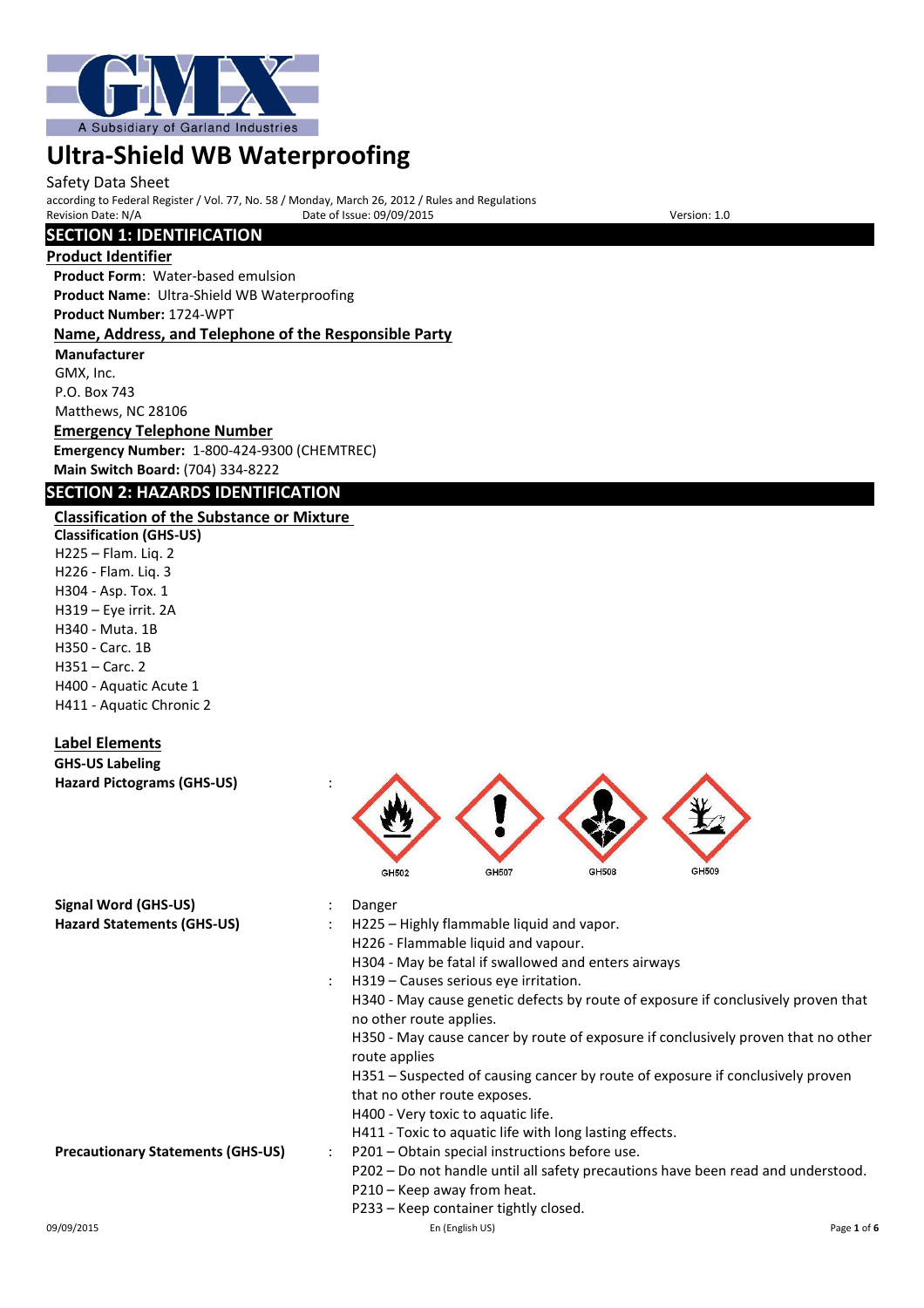

#### Safety Data Sheet

according to Federal Register / Vol. 77, No. 58 / Monday, March 26, 2012 / Rules and Regulations Provide of Issue: 09/09/2015

# **SECTION 1: IDENTIFICATION**

#### **Product Identifier**

**Product Form**: Water-based emulsion **Product Name**: Ultra-Shield WB Waterproofing **Product Number:** 1724-WPT

#### **Name, Address, and Telephone of the Responsible Party**

**Manufacturer** GMX, Inc. P.O. Box 743 Matthews, NC 28106

# **Emergency Telephone Number**

**Emergency Number:** 1-800-424-9300 (CHEMTREC) **Main Switch Board:** (704) 334-8222

# **SECTION 2: HAZARDS IDENTIFICATION**

# **Classification of the Substance or Mixture**

**Classification (GHS-US)** H225 – Flam. Liq. 2 H226 - Flam. Liq. 3 H304 - Asp. Tox. 1 H319 – Eye irrit. 2A H340 - Muta. 1B H350 - Carc. 1B H351 – Carc. 2 H400 - Aquatic Acute 1 H411 - Aquatic Chronic 2

# **Label Elements**

#### **GHS-US Labeling Hazard Pictograms (GHS-US)** :

| <b>Signal Word (GHS-US)</b>              | Danger                                                                                                       |
|------------------------------------------|--------------------------------------------------------------------------------------------------------------|
| <b>Hazard Statements (GHS-US)</b>        | H225 - Highly flammable liquid and vapor.                                                                    |
|                                          | H226 - Flammable liquid and vapour.                                                                          |
|                                          | H304 - May be fatal if swallowed and enters airways                                                          |
|                                          | H319 – Causes serious eye irritation.                                                                        |
|                                          | H340 - May cause genetic defects by route of exposure if conclusively proven that<br>no other route applies. |
|                                          | H350 - May cause cancer by route of exposure if conclusively proven that no other<br>route applies           |
|                                          | H351 – Suspected of causing cancer by route of exposure if conclusively proven                               |
|                                          | that no other route exposes.                                                                                 |
|                                          | H400 - Very toxic to aquatic life.                                                                           |
|                                          | H411 - Toxic to aquatic life with long lasting effects.                                                      |
| <b>Precautionary Statements (GHS-US)</b> | P201 – Obtain special instructions before use.                                                               |
|                                          | P202 - Do not handle until all safety precautions have been read and understood.                             |
|                                          | P210 - Keep away from heat.                                                                                  |
|                                          | P233 – Keep container tightly closed.                                                                        |

GH507

GH508

 $GH509$ 

GH502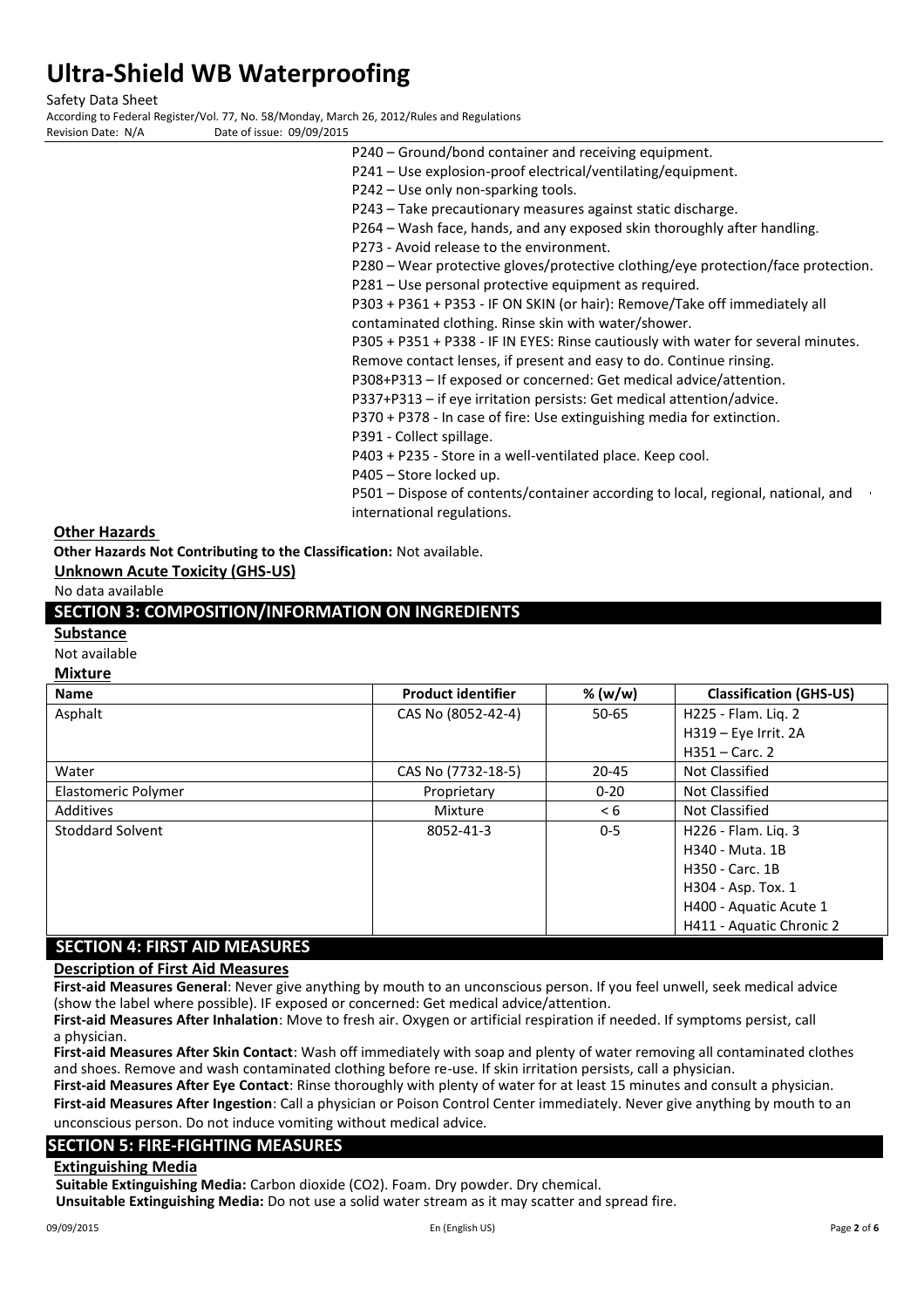Safety Data Sheet

According to Federal Register/Vol. 77, No. 58/Monday, March 26, 2012/Rules and Regulations Date of issue: 09/09/2015

- P240 Ground/bond container and receiving equipment. P241 – Use explosion-proof electrical/ventilating/equipment. P242 – Use only non-sparking tools. P243 – Take precautionary measures against static discharge. P264 – Wash face, hands, and any exposed skin thoroughly after handling. P273 - Avoid release to the environment. P280 – Wear protective gloves/protective clothing/eye protection/face protection. P281 – Use personal protective equipment as required. P303 + P361 + P353 - IF ON SKIN (or hair): Remove/Take off immediately all contaminated clothing. Rinse skin with water/shower. P305 + P351 + P338 - IF IN EYES: Rinse cautiously with water for several minutes. Remove contact lenses, if present and easy to do. Continue rinsing. P308+P313 – If exposed or concerned: Get medical advice/attention.
	- P337+P313 if eye irritation persists: Get medical attention/advice.

P370 + P378 - In case of fire: Use extinguishing media for extinction.

P391 - Collect spillage.

P403 + P235 - Store in a well-ventilated place. Keep cool.

P405 – Store locked up.

P501 – Dispose of contents/container according to local, regional, national, and international regulations.

#### **Other Hazards**

**Other Hazards Not Contributing to the Classification:** Not available.

**Unknown Acute Toxicity (GHS-US)**

No data available

# **SECTION 3: COMPOSITION/INFORMATION ON INGREDIENTS**

#### **Substance**

Not available

# **Mixture**

| <b>Name</b>                     | <b>Product identifier</b> | % (w/w)   | <b>Classification (GHS-US)</b> |
|---------------------------------|---------------------------|-----------|--------------------------------|
| Asphalt                         | CAS No (8052-42-4)        | $50 - 65$ | H225 - Flam. Lig. 2            |
|                                 |                           |           | H319 - Eye Irrit. 2A           |
|                                 |                           |           | $H351 - Carc.$ 2               |
| Water                           | CAS No (7732-18-5)        | $20 - 45$ | Not Classified                 |
| Elastomeric Polymer             | Proprietary               | $0 - 20$  | Not Classified                 |
| Additives                       | Mixture                   | < 6       | Not Classified                 |
| Stoddard Solvent                | 8052-41-3                 | $0 - 5$   | H226 - Flam. Lig. 3            |
|                                 |                           |           | H340 - Muta, 1B                |
|                                 |                           |           | H350 - Carc. 1B                |
|                                 |                           |           | H304 - Asp. Tox. 1             |
|                                 |                           |           | H400 - Aquatic Acute 1         |
|                                 |                           |           | H411 - Aquatic Chronic 2       |
| CECTION A. FIDET AID BAFACLIDEC |                           |           |                                |

# **SECTION 4: FIRST AID MEASURES**

### **Description of First Aid Measures**

**First-aid Measures General**: Never give anything by mouth to an unconscious person. If you feel unwell, seek medical advice (show the label where possible). IF exposed or concerned: Get medical advice/attention. **First-aid Measures After Inhalation**: Move to fresh air. Oxygen or artificial respiration if needed. If symptoms persist, call

a physician.

**First-aid Measures After Skin Contact**: Wash off immediately with soap and plenty of water removing all contaminated clothes and shoes. Remove and wash contaminated clothing before re-use. If skin irritation persists, call a physician.

**First-aid Measures After Eye Contact**: Rinse thoroughly with plenty of water for at least 15 minutes and consult a physician. **First-aid Measures After Ingestion**: Call a physician or Poison Control Center immediately. Never give anything by mouth to an

unconscious person. Do not induce vomiting without medical advice.

# **SECTION 5: FIRE-FIGHTING MEASURES**

### **Extinguishing Media**

**Suitable Extinguishing Media:** Carbon dioxide (CO2). Foam. Dry powder. Dry chemical.

**Unsuitable Extinguishing Media:** Do not use a solid water stream as it may scatter and spread fire.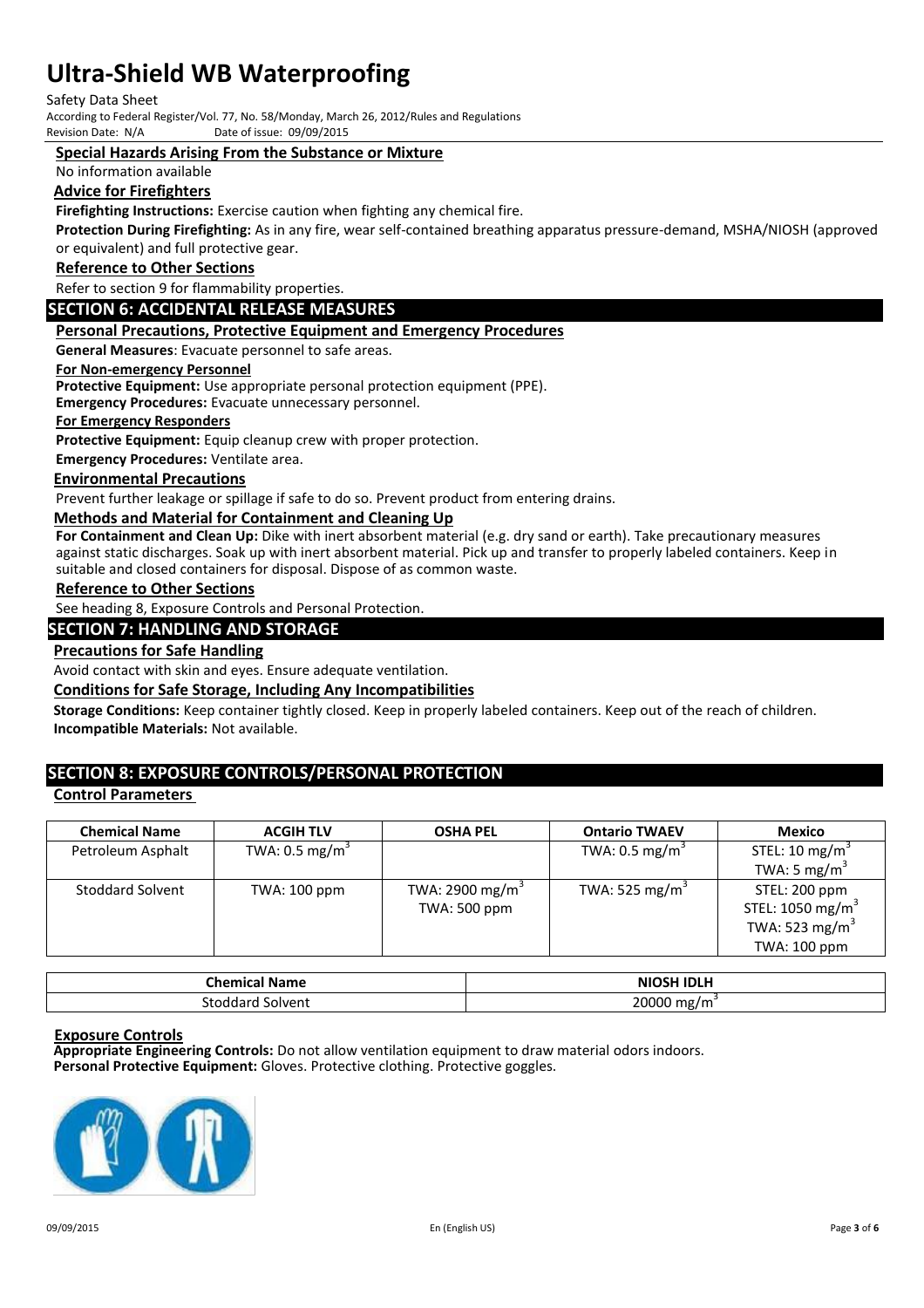Safety Data Sheet

According to Federal Register/Vol. 77, No. 58/Monday, March 26, 2012/Rules and Regulations Date of issue: 09/09/2015

#### **Special Hazards Arising From the Substance or Mixture**

No information available

#### **Advice for Firefighters**

**Firefighting Instructions:** Exercise caution when fighting any chemical fire.

**Protection During Firefighting:** As in any fire, wear self-contained breathing apparatus pressure-demand, MSHA/NIOSH (approved or equivalent) and full protective gear.

#### **Reference to Other Sections**

Refer to section 9 for flammability properties.

#### **SECTION 6: ACCIDENTAL RELEASE MEASURES**

#### **Personal Precautions, Protective Equipment and Emergency Procedures**

**General Measures**: Evacuate personnel to safe areas.

#### **For Non-emergency Personnel**

**Protective Equipment:** Use appropriate personal protection equipment (PPE).

**Emergency Procedures:** Evacuate unnecessary personnel.

#### **For Emergency Responders**

**Protective Equipment:** Equip cleanup crew with proper protection.

**Emergency Procedures:** Ventilate area.

#### **Environmental Precautions**

Prevent further leakage or spillage if safe to do so. Prevent product from entering drains.

#### **Methods and Material for Containment and Cleaning Up**

**For Containment and Clean Up:** Dike with inert absorbent material (e.g. dry sand or earth). Take precautionary measures against static discharges. Soak up with inert absorbent material. Pick up and transfer to properly labeled containers. Keep in suitable and closed containers for disposal. Dispose of as common waste.

#### **Reference to Other Sections**

See heading 8, Exposure Controls and Personal Protection.

#### **SECTION 7: HANDLING AND STORAGE**

#### **Precautions for Safe Handling**

Avoid contact with skin and eyes. Ensure adequate ventilation.

#### **Conditions for Safe Storage, Including Any Incompatibilities**

**Storage Conditions:** Keep container tightly closed. Keep in properly labeled containers. Keep out of the reach of children. **Incompatible Materials:** Not available.

# **SECTION 8: EXPOSURE CONTROLS/PERSONAL PROTECTION**

#### **Control Parameters**

| <b>Chemical Name</b>    | <b>ACGIH TLV</b>          | <b>OSHA PEL</b>     | <b>Ontario TWAEV</b>       | <b>Mexico</b>                |
|-------------------------|---------------------------|---------------------|----------------------------|------------------------------|
| Petroleum Asphalt       | TWA: $0.5 \text{ mg/m}^3$ |                     | TWA: $0.5 \text{ mg/m}^3$  | STEL: 10 mg/m <sup>3</sup>   |
|                         |                           |                     |                            | TWA: 5 mg/m <sup>3</sup>     |
| <b>Stoddard Solvent</b> | TWA: 100 ppm              | TWA: 2900 mg/m $3$  | TWA: 525 mg/m <sup>3</sup> | STEL: 200 ppm                |
|                         |                           | <b>TWA: 500 ppm</b> |                            | STEL: 1050 mg/m <sup>3</sup> |
|                         |                           |                     |                            | TWA: 523 mg/m <sup>3</sup>   |
|                         |                           |                     |                            | TWA: 100 ppm                 |

| Chemical Name       | <b>NIOSH IDLH</b>       |
|---------------------|-------------------------|
| Solvent<br>stoddard | 20000 mg/m <sup>3</sup> |

#### **Exposure Controls**

**Appropriate Engineering Controls:** Do not allow ventilation equipment to draw material odors indoors. **Personal Protective Equipment:** Gloves. Protective clothing. Protective goggles.

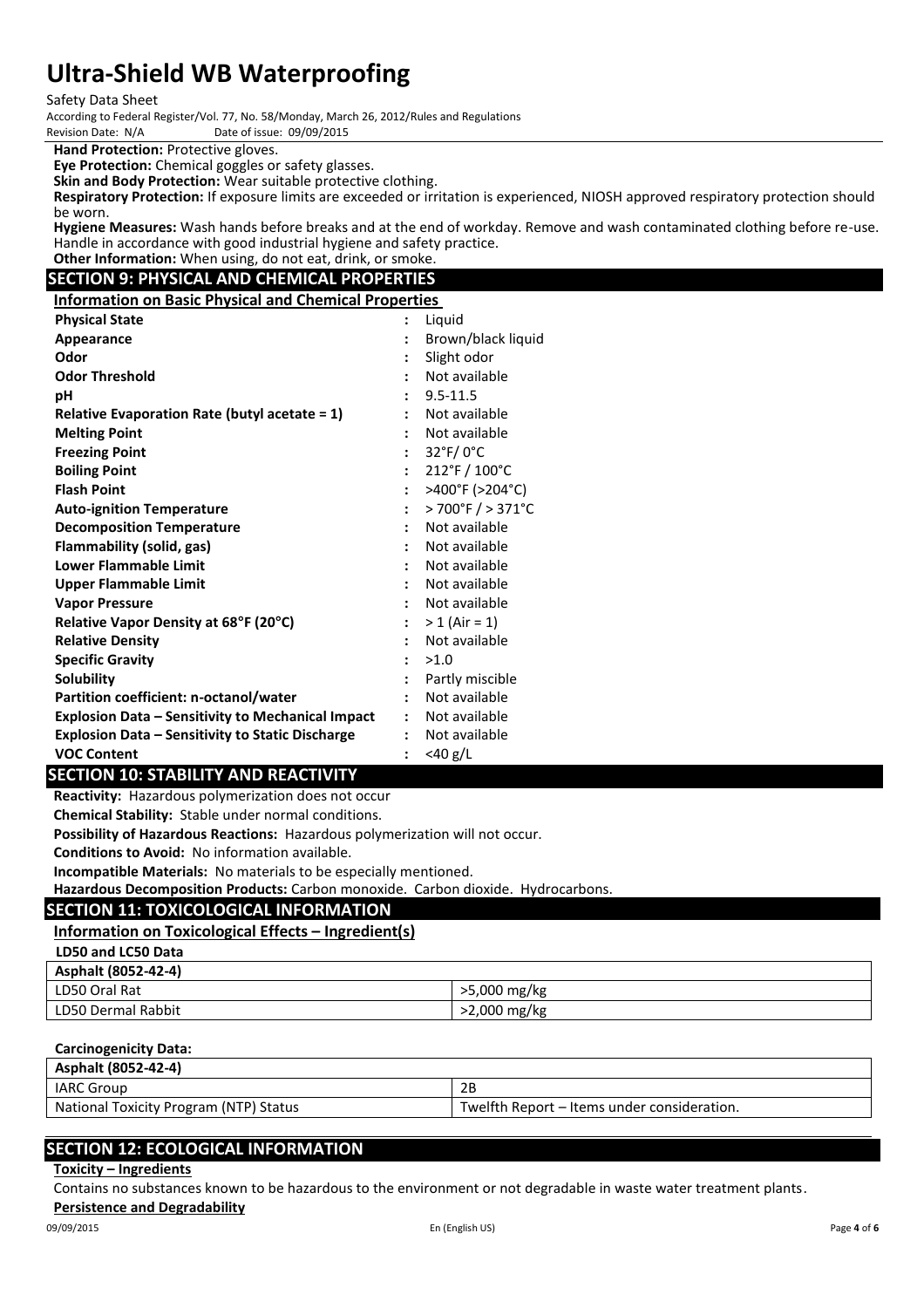Safety Data Sheet

According to Federal Register/Vol. 77, No. 58/Monday, March 26, 2012/Rules and Regulations

Date of issue: 09/09/2015

**Hand Protection:** Protective gloves.

**Eye Protection:** Chemical goggles or safety glasses.

**Skin and Body Protection:** Wear suitable protective clothing.

**Respiratory Protection:** If exposure limits are exceeded or irritation is experienced, NIOSH approved respiratory protection should be worn.

**Hygiene Measures:** Wash hands before breaks and at the end of workday. Remove and wash contaminated clothing before re-use. Handle in accordance with good industrial hygiene and safety practice. **Other Information:** When using, do not eat, drink, or smoke.

# **SECTION 9: PHYSICAL AND CHEMICAL PROPERTIES**

**Information on Basic Physical and Chemical Properties**

| <b>Physical State</b>                                    | $\ddot{\cdot}$       | Liquid                                  |
|----------------------------------------------------------|----------------------|-----------------------------------------|
| Appearance                                               |                      | Brown/black liquid                      |
| Odor                                                     |                      | Slight odor                             |
| <b>Odor Threshold</b>                                    |                      | Not available                           |
| рH                                                       |                      | $9.5 - 11.5$                            |
| Relative Evaporation Rate (butyl acetate $= 1$ )         |                      | Not available                           |
| <b>Melting Point</b>                                     | $\ddot{\cdot}$       | Not available                           |
| <b>Freezing Point</b>                                    | $\ddot{\phantom{a}}$ | 32°F/0°C                                |
| <b>Boiling Point</b>                                     | $\ddot{\cdot}$       | $212^{\circ}$ F / $100^{\circ}$ C       |
| <b>Flash Point</b>                                       | $\ddot{\cdot}$       | >400°F (>204°C)                         |
| <b>Auto-ignition Temperature</b>                         | $\ddot{\phantom{a}}$ | $>700^{\circ}$ F $/$ > 371 $^{\circ}$ C |
| <b>Decomposition Temperature</b>                         | $\ddot{\cdot}$       | Not available                           |
| Flammability (solid, gas)                                |                      | Not available                           |
| <b>Lower Flammable Limit</b>                             | $\ddot{\cdot}$       | Not available                           |
| <b>Upper Flammable Limit</b>                             |                      | Not available                           |
| <b>Vapor Pressure</b>                                    |                      | Not available                           |
| Relative Vapor Density at 68°F (20°C)                    | $\ddot{\phantom{0}}$ | $> 1$ (Air = 1)                         |
| <b>Relative Density</b>                                  |                      | Not available                           |
| <b>Specific Gravity</b>                                  | $\ddot{\cdot}$       | >1.0                                    |
| Solubility                                               |                      | Partly miscible                         |
| Partition coefficient: n-octanol/water                   |                      | Not available                           |
| <b>Explosion Data – Sensitivity to Mechanical Impact</b> | $\mathbf{r}$         | Not available                           |
| <b>Explosion Data - Sensitivity to Static Discharge</b>  | $\ddot{\phantom{a}}$ | Not available                           |
| <b>VOC Content</b>                                       | $\ddot{\cdot}$       | $<$ 40 g/L                              |

# **SECTION 10: STABILITY AND REACTIVITY**

**Reactivity:** Hazardous polymerization does not occur

**Chemical Stability:** Stable under normal conditions.

**Possibility of Hazardous Reactions:** Hazardous polymerization will not occur.

**Conditions to Avoid:** No information available.

**Incompatible Materials:** No materials to be especially mentioned.

**Hazardous Decomposition Products:** Carbon monoxide. Carbon dioxide. Hydrocarbons.

#### **SECTION 11: TOXICOLOGICAL INFORMATION**

#### **Information on Toxicological Effects – Ingredient(s)**

| LD50 and LC50 Data  |              |
|---------------------|--------------|
| Asphalt (8052-42-4) |              |
| LD50 Oral Rat       | >5,000 mg/kg |
| LD50 Dermal Rabbit  | >2,000 mg/kg |

#### **Carcinogenicity Data:**

| Asphalt (8052-42-4)                    |                                             |
|----------------------------------------|---------------------------------------------|
| <b>IARC Group</b>                      | 2B                                          |
| National Toxicity Program (NTP) Status | Twelfth Report – Items under consideration. |

# **SECTION 12: ECOLOGICAL INFORMATION**

### **Toxicity – Ingredients**

Contains no substances known to be hazardous to the environment or not degradable in waste water treatment plants.

### **Persistence and Degradability**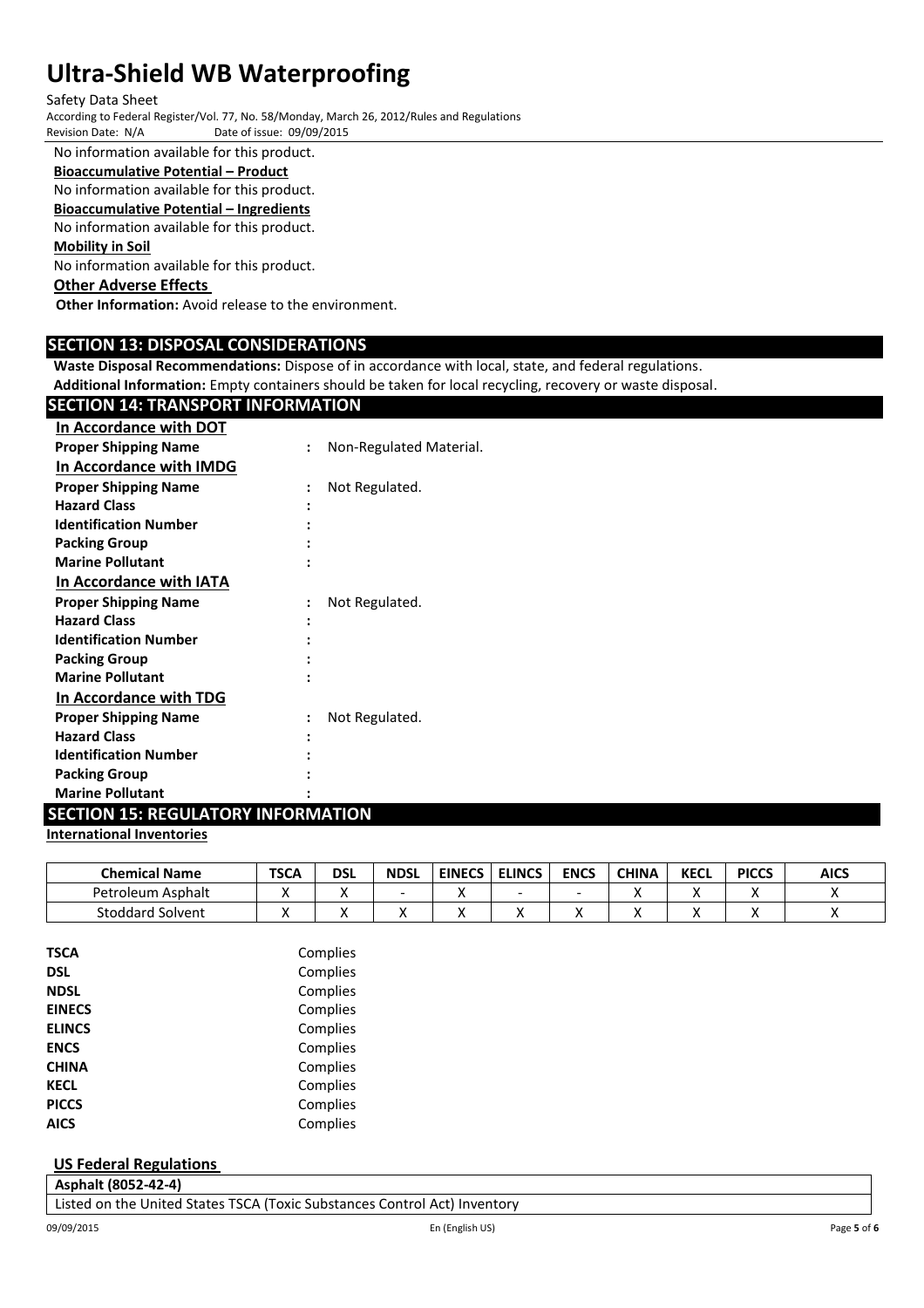#### Safety Data Sheet

According to Federal Register/Vol. 77, No. 58/Monday, March 26, 2012/Rules and Regulations Date of issue: 09/09/2015

No information available for this product.

# **Bioaccumulative Potential – Product**

No information available for this product.

**Bioaccumulative Potential – Ingredients**

No information available for this product.

#### **Mobility in Soil**

No information available for this product.

# **Other Adverse Effects**

**Other Information:** Avoid release to the environment.

# **SECTION 13: DISPOSAL CONSIDERATIONS**

**Waste Disposal Recommendations:** Dispose of in accordance with local, state, and federal regulations.

**Additional Information:** Empty containers should be taken for local recycling, recovery or waste disposal.

| <b>SECTION 14: TRANSPORT INFORMATION</b> |                         |
|------------------------------------------|-------------------------|
| In Accordance with DOT                   |                         |
| <b>Proper Shipping Name</b>              | Non-Regulated Material. |
| In Accordance with IMDG                  |                         |
| <b>Proper Shipping Name</b>              | Not Regulated.          |
| <b>Hazard Class</b>                      |                         |
| <b>Identification Number</b>             |                         |
| <b>Packing Group</b>                     |                         |
| <b>Marine Pollutant</b>                  |                         |
| In Accordance with IATA                  |                         |
| <b>Proper Shipping Name</b>              | Not Regulated.          |
| <b>Hazard Class</b>                      |                         |
| <b>Identification Number</b>             |                         |
| <b>Packing Group</b>                     |                         |
| <b>Marine Pollutant</b>                  |                         |
| In Accordance with TDG                   |                         |
| <b>Proper Shipping Name</b>              | Not Regulated.          |
| <b>Hazard Class</b>                      |                         |
| <b>Identification Number</b>             |                         |
| <b>Packing Group</b>                     |                         |
| <b>Marine Pollutant</b>                  |                         |

# **SECTION 15: REGULATORY INFORMATION**

#### **International Inventories**

| <b>Chemical Name</b>    | <b>TSCA</b> | dsl | <b>NDSL</b> | <b>EINECS</b> | <b>ELINCS</b> | <b>ENCS</b> | <b>CHINA</b> | <b>KECL</b> | <b>PICCS</b> | <b>AICS</b> |
|-------------------------|-------------|-----|-------------|---------------|---------------|-------------|--------------|-------------|--------------|-------------|
| Petroleum Asphalt       |             | ,,  | -           |               | -             | ۰           |              |             |              |             |
| <b>Stoddard Solvent</b> | . .         | ,,  |             |               | "             |             |              |             |              |             |

| <b>TSCA</b>   | Complies |
|---------------|----------|
| <b>DSL</b>    | Complies |
| <b>NDSL</b>   | Complies |
| <b>EINECS</b> | Complies |
| <b>ELINCS</b> | Complies |
| <b>ENCS</b>   | Complies |
| <b>CHINA</b>  | Complies |
| <b>KECL</b>   | Complies |
| <b>PICCS</b>  | Complies |
| <b>AICS</b>   | Complies |

### **US Federal Regulations**

**Asphalt (8052-42-4)** Listed on the United States TSCA (Toxic Substances Control Act) Inventory